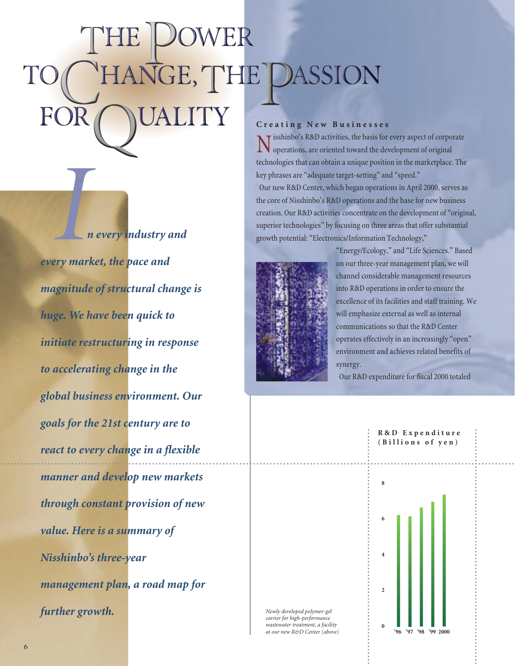# ASSION **Creating New Businesses**

*n every industry and every market, the pace and magnitude of structural change is huge. We have been quick to initiate restructuring in response to accelerating change in the global business environment. Our goals for the 21st century are to react to every change in a flexible manner and develop new markets through constant provision of new value. Here is a summary of Nisshinbo's three-year management plan, a road map for further growth.* **I**<br>*I*<br>*I*<br>*I*<br>*I*<br>*I*<br>*I*<br>*I*<br>*I*<br>*I* 

Nisshinbo's R&D activities, the basis for every aspect of corporate operations, are oriented toward the development of original technologies that can obtain a unique position in the marketplace. The key phrases are "adequate target-setting" and "speed." Our new R&D Center, which began operations in April 2000, serves as the core of Nisshinbo's R&D operations and the base for new business creation. Our R&D activities concentrate on the development of "original, superior technologies" by focusing on three areas that offer substantial growth potential: "Electronics/Information Technology,"



"Energy/Ecology," and "Life Sciences." Based on our three-year management plan, we will channel considerable management resources into R&D operations in order to ensure the excellence of its facilities and staff training. We will emphasize external as well as internal communications so that the R&D Center operates effectively in an increasingly "open" environment and achieves related benefits of synergy.

Our R&D expenditure for fiscal 2000 totaled



*Newly developed polymer-gel carrier for high-performance wastewater treatment, a facility at our new R&D Center (above)*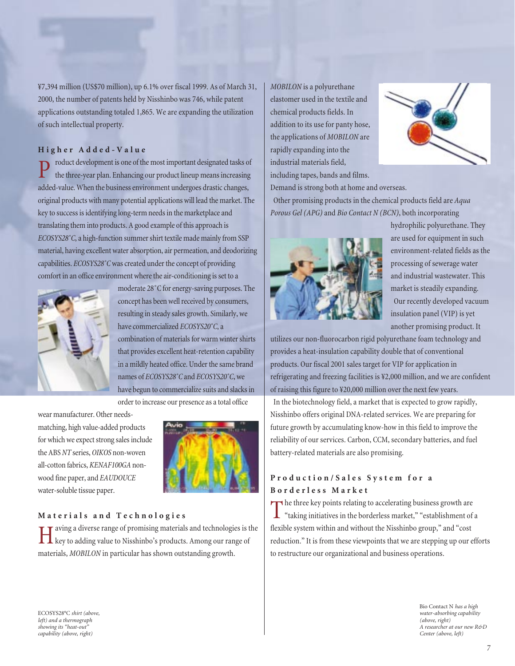¥7,394 million (US\$70 million), up 6.1% over fiscal 1999. As of March 31, 2000, the number of patents held by Nisshinbo was 746, while patent applications outstanding totaled 1,865. We are expanding the utilization of such intellectual property.

#### **Higher Added-Value**

roduct development is one of the most important designated tasks of the three-year plan. Enhancing our product lineup means increasing added-value. When the business environment undergoes drastic changes, original products with many potential applications will lead the market. The key to success is identifying long-term needs in the marketplace and translating them into products. A good example of this approach is *ECOSYS28˚C*, a high-function summer shirt textile made mainly from SSP material, having excellent water absorption, air permeation, and deodorizing capabilities. *ECOSYS28˚C*was created under the concept of providing comfort in an office environment where the air-conditioning is set to a



moderate 28˚C for energy-saving purposes. The concept has been well received by consumers, resulting in steady sales growth. Similarly, we have commercialized *ECOSYS20˚C*, a combination of materials for warm winter shirts that provides excellent heat-retention capability in a mildly heated office. Under the same brand names of *ECOSYS28˚C* and *ECOSYS20˚C*, we have begun to commercialize suits and slacks in

order to increase our presence as a total office

wear manufacturer. Other needsmatching, high value-added products for which we expect strong sales include the ABS *NT* series, *OIKOS* non-woven all-cotton fabrics, *KENAF100GA* nonwood fine paper, and *EAUDOUCE* water-soluble tissue paper.



#### **Materials and Technologies**

Having a diverse range of promising materials and technologies is the key to adding value to Nisshinbo's products. Among our range of materials, *MOBILON* in particular has shown outstanding growth.

*MOBILON* is a polyurethane elastomer used in the textile and chemical products fields. In addition to its use for panty hose, the applications of *MOBILON* are rapidly expanding into the industrial materials field, including tapes, bands and films.



Demand is strong both at home and overseas.

Other promising products in the chemical products field are *Aqua Porous Gel (APG)* and *Bio Contact N (BCN)*, both incorporating



hydrophilic polyurethane. They are used for equipment in such environment-related fields as the processing of sewerage water and industrial wastewater. This market is steadily expanding. Our recently developed vacuum insulation panel (VIP) is yet another promising product. It

utilizes our non-fluorocarbon rigid polyurethane foam technology and provides a heat-insulation capability double that of conventional products. Our fiscal 2001 sales target for VIP for application in refrigerating and freezing facilities is ¥2,000 million, and we are confident of raising this figure to ¥20,000 million over the next few years.

In the biotechnology field, a market that is expected to grow rapidly, Nisshinbo offers original DNA-related services. We are preparing for future growth by accumulating know-how in this field to improve the reliability of our services. Carbon, CCM, secondary batteries, and fuel battery-related materials are also promising.

#### **Production/Sales System for a Borderless Market**

The three key points relating to accelerating business growth are<br>"taking initiatives in the borderless market," "establishment of a flexible system within and without the Nisshinbo group," and "cost reduction." It is from these viewpoints that we are stepping up our efforts to restructure our organizational and business operations.

ECOSYS28°C *shirt (above, left) and a thermograph showing its "heat-out" capability (above, right)* 

Bio Contact N *has a high water-absorbing capability (above, right) A researcher at our new R&D Center (above, left)*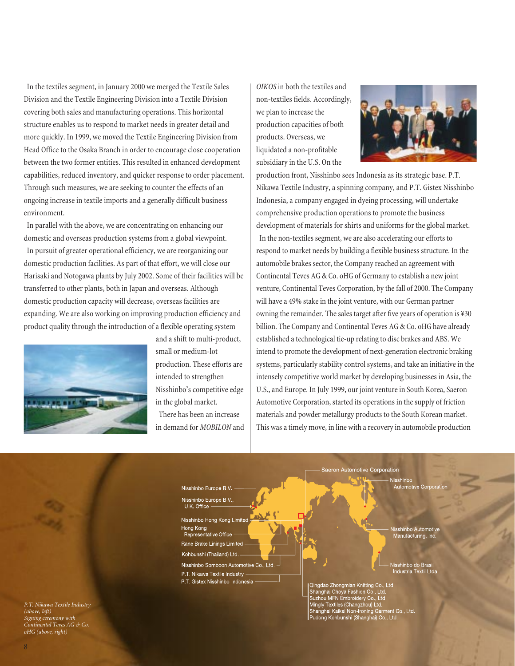In the textiles segment, in January 2000 we merged the Textile Sales Division and the Textile Engineering Division into a Textile Division covering both sales and manufacturing operations. This horizontal structure enables us to respond to market needs in greater detail and more quickly. In 1999, we moved the Textile Engineering Division from Head Office to the Osaka Branch in order to encourage close cooperation between the two former entities. This resulted in enhanced development capabilities, reduced inventory, and quicker response to order placement. Through such measures, we are seeking to counter the effects of an ongoing increase in textile imports and a generally difficult business environment.

In parallel with the above, we are concentrating on enhancing our domestic and overseas production systems from a global viewpoint.

In pursuit of greater operational efficiency, we are reorganizing our domestic production facilities. As part of that effort, we will close our Harisaki and Notogawa plants by July 2002. Some of their facilities will be transferred to other plants, both in Japan and overseas. Although domestic production capacity will decrease, overseas facilities are expanding. We are also working on improving production efficiency and product quality through the introduction of a flexible operating system



and a shift to multi-product, small or medium-lot production. These efforts are intended to strengthen Nisshinbo's competitive edge in the global market. There has been an increase in demand for *MOBILON* and *OIKOS* in both the textiles and non-textiles fields. Accordingly, we plan to increase the production capacities of both products. Overseas, we liquidated a non-profitable subsidiary in the U.S. On the



production front, Nisshinbo sees Indonesia as its strategic base. P.T. Nikawa Textile Industry, a spinning company, and P.T. Gistex Nisshinbo Indonesia, a company engaged in dyeing processing, will undertake comprehensive production operations to promote the business development of materials for shirts and uniforms for the global market. In the non-textiles segment, we are also accelerating our efforts to respond to market needs by building a flexible business structure. In the automobile brakes sector, the Company reached an agreement with Continental Teves AG & Co. oHG of Germany to establish a new joint venture, Continental Teves Corporation, by the fall of 2000. The Company will have a 49% stake in the joint venture, with our German partner owning the remainder. The sales target after five years of operation is ¥30 billion. The Company and Continental Teves AG & Co. oHG have already established a technological tie-up relating to disc brakes and ABS. We intend to promote the development of next-generation electronic braking systems, particularly stability control systems, and take an initiative in the intensely competitive world market by developing businesses in Asia, the U.S., and Europe. In July 1999, our joint venture in South Korea, Saeron Automotive Corporation, started its operations in the supply of friction materials and powder metallurgy products to the South Korean market. This was a timely move, in line with a recovery in automobile production

Nisshinbo Europe B.V. U.K. Office Nisshinbo Hong Kong Limited Hong Kong Representative Office Rane Brake Linings Limited Kohbunshi (Thailand) Ltd. Nisshinbo Somboon Automotive Co., Ltd.

Nisshinbo Europe B.V.

P.T. Nikawa Textile Industry P.T. Gistex Nisshinbo Indonesia

shinbo Automoti

visshinbo Automotive<br>Manufacturing, Inc.

visshinbo do Brasi<mark>l</mark><br>Industria Textil Ltda

Qingdao Zhongmian Knitting Co., Ltd. Ginanghai Choya Fashion Co., Ltd.<br>Shanghai Choya Fashion Co., Ltd.<br>Suzhou MFN Embroidery Co., Ltd.<br>Mingly Textiles (Changzhou) Ltd.<br>Shanghai Kaikai Non-Ironing Garment Co., Ltd.<br>Pudong Kohbunshi (Shanghai) Co., Ltd.

Saeron Automotive Corporation

*P.T. Nikawa Textile Industry (above, left) Signing ceremony with Continental Teves AG & Co. oHG (above, right)*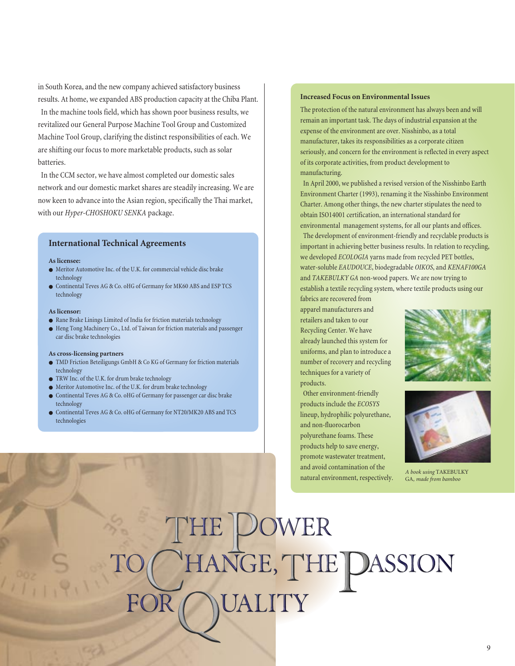in South Korea, and the new company achieved satisfactory business results. At home, we expanded ABS production capacity at the Chiba Plant.

In the machine tools field, which has shown poor business results, we revitalized our General Purpose Machine Tool Group and Customized Machine Tool Group, clarifying the distinct responsibilities of each. We are shifting our focus to more marketable products, such as solar batteries.

In the CCM sector, we have almost completed our domestic sales network and our domestic market shares are steadily increasing. We are now keen to advance into the Asian region, specifically the Thai market, with our *Hyper-CHOSHOKU SENKA* package.

#### **International Technical Agreements**

#### **As licensee:**

- Meritor Automotive Inc. of the U.K. for commercial vehicle disc brake technology
- Continental Teves AG & Co. oHG of Germany for MK60 ABS and ESP TCS technology

#### **As licensor:**

- Rane Brake Linings Limited of India for friction materials technology
- Heng Tong Machinery Co., Ltd. of Taiwan for friction materials and passenger car disc brake technologies

#### **As cross-licensing partners**

- TMD Friction Beteiligungs GmbH & Co KG of Germany for friction materials technology
- TRW Inc. of the U.K. for drum brake technology
- Meritor Automotive Inc. of the U.K. for drum brake technology
- Continental Teves AG & Co. oHG of Germany for passenger car disc brake technology
- Continental Teves AG & Co. oHG of Germany for NT20/MK20 ABS and TCS technologies

#### **Increased Focus on Environmental Issues**

The protection of the natural environment has always been and will remain an important task. The days of industrial expansion at the expense of the environment are over. Nisshinbo, as a total manufacturer, takes its responsibilities as a corporate citizen seriously, and concern for the environment is reflected in every aspect of its corporate activities, from product development to manufacturing.

In April 2000, we published a revised version of the Nisshinbo Earth Environment Charter (1993), renaming it the Nisshinbo Environment Charter. Among other things, the new charter stipulates the need to obtain ISO14001 certification, an international standard for environmental management systems, for all our plants and offices. The development of environment-friendly and recyclable products is important in achieving better business results. In relation to recycling, we developed *ECOLOGIA* yarns made from recycled PET bottles, water-soluble *EAUDOUCE*, biodegradable *OIKOS*, and *KENAF100GA* and *TAKEBULKY GA* non-wood papers. We are now trying to establish a textile recycling system, where textile products using our

fabrics are recovered from apparel manufacturers and retailers and taken to our Recycling Center. We have already launched this system for uniforms, and plan to introduce a number of recovery and recycling techniques for a variety of products.

Other environment-friendly products include the *ECOSYS* lineup, hydrophilic polyurethane, and non-fluorocarbon polyurethane foams. These products help to save energy, promote wastewater treatment, and avoid contamination of the natural environment, respectively.





*A book using* TAKEBULKY GA*, made from bamboo*

NGE, **HE DASSION**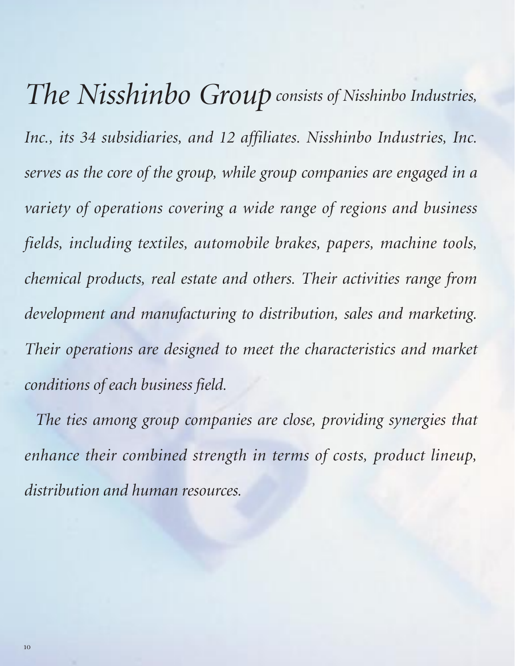*The Nisshinbo Group consists of Nisshinbo Industries, Inc., its 34 subsidiaries, and 12 affiliates. Nisshinbo Industries, Inc. serves as the core of the group, while group companies are engaged in a variety of operations covering a wide range of regions and business fields, including textiles, automobile brakes, papers, machine tools, chemical products, real estate and others. Their activities range from development and manufacturing to distribution, sales and marketing. Their operations are designed to meet the characteristics and market conditions of each business field.* 

*The ties among group companies are close, providing synergies that enhance their combined strength in terms of costs, product lineup, distribution and human resources.*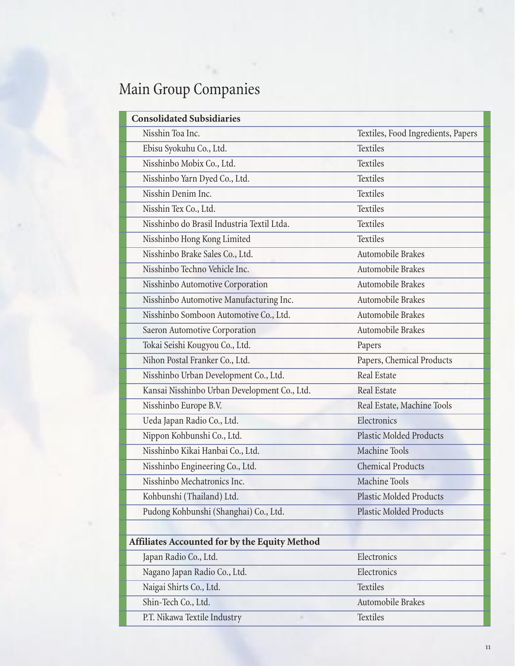## Main Group Companies

| <b>Consolidated Subsidiaries</b>              |                                    |
|-----------------------------------------------|------------------------------------|
| Nisshin Toa Inc.                              | Textiles, Food Ingredients, Papers |
| Ebisu Syokuhu Co., Ltd.                       | <b>Textiles</b>                    |
| Nisshinbo Mobix Co., Ltd.                     | <b>Textiles</b>                    |
| Nisshinbo Yarn Dyed Co., Ltd.                 | <b>Textiles</b>                    |
| Nisshin Denim Inc.                            | <b>Textiles</b>                    |
| Nisshin Tex Co., Ltd.                         | Textiles                           |
| Nisshinbo do Brasil Industria Textil Ltda.    | Textiles                           |
| Nisshinbo Hong Kong Limited                   | <b>Textiles</b>                    |
| Nisshinbo Brake Sales Co., Ltd.               | Automobile Brakes                  |
| Nisshinbo Techno Vehicle Inc.                 | Automobile Brakes                  |
| Nisshinbo Automotive Corporation              | Automobile Brakes                  |
| Nisshinbo Automotive Manufacturing Inc.       | Automobile Brakes                  |
| Nisshinbo Somboon Automotive Co., Ltd.        | Automobile Brakes                  |
| Saeron Automotive Corporation                 | Automobile Brakes                  |
| Tokai Seishi Kougyou Co., Ltd.                | Papers                             |
| Nihon Postal Franker Co., Ltd.                | Papers, Chemical Products          |
| Nisshinbo Urban Development Co., Ltd.         | <b>Real Estate</b>                 |
| Kansai Nisshinbo Urban Development Co., Ltd.  | <b>Real Estate</b>                 |
| Nisshinbo Europe B.V.                         | Real Estate, Machine Tools         |
| Ueda Japan Radio Co., Ltd.                    | Electronics                        |
| Nippon Kohbunshi Co., Ltd.                    | <b>Plastic Molded Products</b>     |
| Nisshinbo Kikai Hanbai Co., Ltd.              | <b>Machine Tools</b>               |
| Nisshinbo Engineering Co., Ltd.               | <b>Chemical Products</b>           |
| Nisshinbo Mechatronics Inc.                   | Machine Tools                      |
| Kohbunshi (Thailand) Ltd.                     | <b>Plastic Molded Products</b>     |
| Pudong Kohbunshi (Shanghai) Co., Ltd.         | <b>Plastic Molded Products</b>     |
|                                               |                                    |
| Affiliates Accounted for by the Equity Method |                                    |
| Japan Radio Co., Ltd.                         | Electronics                        |
| Nagano Japan Radio Co., Ltd.                  | Electronics                        |
| Naigai Shirts Co., Ltd.                       | Textiles                           |
| Shin-Tech Co., Ltd.                           | Automobile Brakes                  |
| P.T. Nikawa Textile Industry                  | <b>Textiles</b>                    |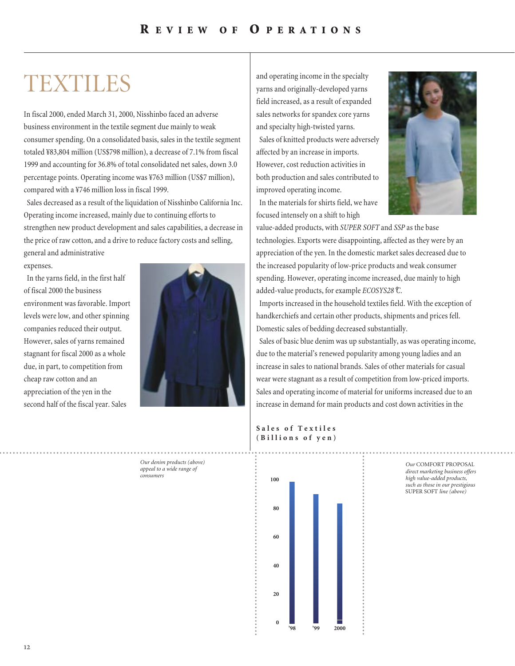## TEXTILES

In fiscal 2000, ended March 31, 2000, Nisshinbo faced an adverse business environment in the textile segment due mainly to weak consumer spending. On a consolidated basis, sales in the textile segment totaled ¥83,804 million (US\$798 million), a decrease of 7.1% from fiscal 1999 and accounting for 36.8% of total consolidated net sales, down 3.0 percentage points. Operating income was ¥763 million (US\$7 million), compared with a ¥746 million loss in fiscal 1999.

Sales decreased as a result of the liquidation of Nisshinbo California Inc. Operating income increased, mainly due to continuing efforts to strengthen new product development and sales capabilities, a decrease in the price of raw cotton, and a drive to reduce factory costs and selling,

general and administrative expenses.

In the yarns field, in the first half of fiscal 2000 the business environment was favorable. Import levels were low, and other spinning companies reduced their output. However, sales of yarns remained stagnant for fiscal 2000 as a whole due, in part, to competition from cheap raw cotton and an appreciation of the yen in the second half of the fiscal year. Sales



and operating income in the specialty yarns and originally-developed yarns field increased, as a result of expanded sales networks for spandex core yarns and specialty high-twisted yarns. Sales of knitted products were adversely affected by an increase in imports. However, cost reduction activities in both production and sales contributed to improved operating income.



In the materials for shirts field, we have focused intensely on a shift to high

value-added products, with *SUPER SOFT* and *SSP* as the base technologies. Exports were disappointing, affected as they were by an appreciation of the yen. In the domestic market sales decreased due to the increased popularity of low-price products and weak consumer spending. However, operating income increased, due mainly to high added-value products, for example *ECOSYS28*°*C*.

Imports increased in the household textiles field. With the exception of handkerchiefs and certain other products, shipments and prices fell. Domestic sales of bedding decreased substantially.

Sales of basic blue denim was up substantially, as was operating income, due to the material's renewed popularity among young ladies and an increase in sales to national brands. Sales of other materials for casual wear were stagnant as a result of competition from low-priced imports. Sales and operating income of material for uniforms increased due to an increase in demand for main products and cost down activities in the

#### **Sales of Textiles (Billions of yen)**



*Our* COMFORT PROPOSAL *direct marketing business offers high value-added products, such as those in our prestigious* SUPER SOFT *line (above)*

*Our denim products (above) appeal to a wide range of consumers*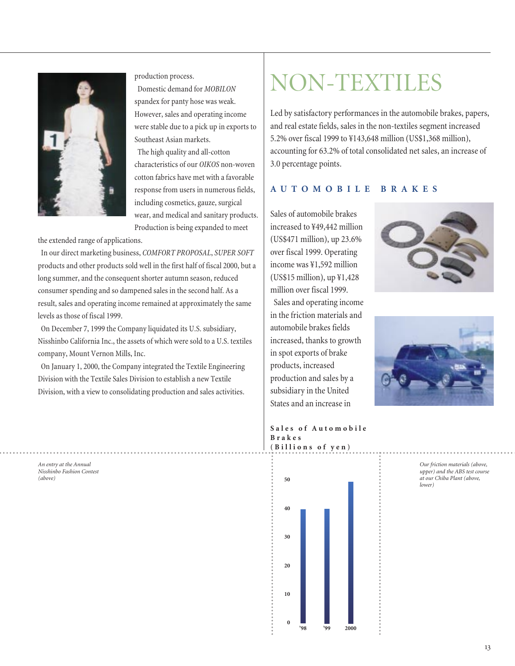

production process.

Domestic demand for *MOBILON* spandex for panty hose was weak. However, sales and operating income were stable due to a pick up in exports to Southeast Asian markets.

The high quality and all-cotton characteristics of our *OIKOS* non-woven cotton fabrics have met with a favorable response from users in numerous fields, including cosmetics, gauze, surgical wear, and medical and sanitary products. Production is being expanded to meet

the extended range of applications.

*An entry at the Annual Nisshinbo Fashion Contest*

*(above)*

In our direct marketing business, *COMFORT PROPOSAL*, *SUPER SOFT* products and other products sold well in the first half of fiscal 2000, but a long summer, and the consequent shorter autumn season, reduced consumer spending and so dampened sales in the second half. As a result, sales and operating income remained at approximately the same levels as those of fiscal 1999.

On December 7, 1999 the Company liquidated its U.S. subsidiary, Nisshinbo California Inc., the assets of which were sold to a U.S. textiles company, Mount Vernon Mills, Inc.

On January 1, 2000, the Company integrated the Textile Engineering Division with the Textile Sales Division to establish a new Textile Division, with a view to consolidating production and sales activities.

NON-TEXTILES

Led by satisfactory performances in the automobile brakes, papers, and real estate fields, sales in the non-textiles segment increased 5.2% over fiscal 1999 to ¥143,648 million (US\$1,368 million), accounting for 63.2% of total consolidated net sales, an increase of 3.0 percentage points.

#### **AUTOMOBILE BRAKES**

Sales of automobile brakes increased to ¥49,442 million (US\$471 million), up 23.6% over fiscal 1999. Operating income was ¥1,592 million (US\$15 million), up ¥1,428 million over fiscal 1999.

Sales and operating income in the friction materials and automobile brakes fields increased, thanks to growth in spot exports of brake products, increased production and sales by a subsidiary in the United States and an increase in





**Sales of Automobile Brakes (Billions of yen)**

> *Our friction materials (above, upper) and the ABS test course at our Chiba Plant (above, lower)*



**0**

2000

**10**

**30**

**40**

**50**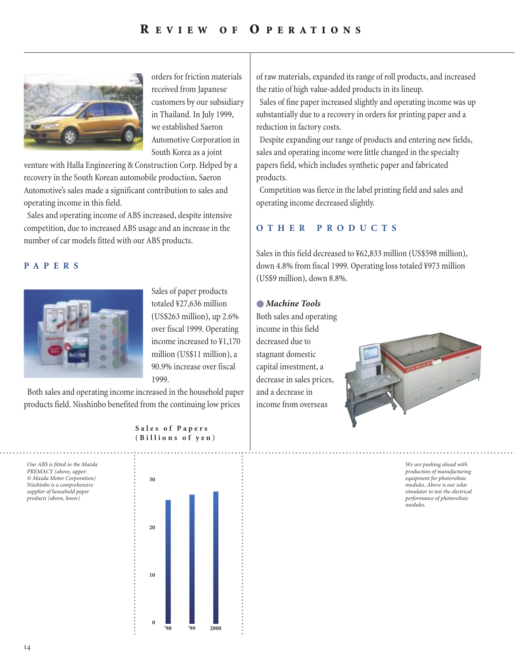### **R EVIEW OF O PERATIONS**



orders for friction materials received from Japanese customers by our subsidiary in Thailand. In July 1999, we established Saeron Automotive Corporation in South Korea as a joint

venture with Halla Engineering & Construction Corp. Helped by a recovery in the South Korean automobile production, Saeron Automotive's sales made a significant contribution to sales and operating income in this field.

Sales and operating income of ABS increased, despite intensive competition, due to increased ABS usage and an increase in the number of car models fitted with our ABS products.

#### **PAPERS**



Sales of paper products totaled ¥27,636 million (US\$263 million), up 2.6% over fiscal 1999. Operating income increased to ¥1,170 million (US\$11 million), a 90.9% increase over fiscal 1999.

Both sales and operating income increased in the household paper products field. Nisshinbo benefited from the continuing low prices

> **Sales of Papers (Billions of yen)**

*Our ABS is fitted in the Mazda PREMACY (above, upper: © Mazda Motor Corporation) Nisshinbo is a comprehensive supplier of household paper products (above, lower)*



of raw materials, expanded its range of roll products, and increased the ratio of high value-added products in its lineup.

Sales of fine paper increased slightly and operating income was up substantially due to a recovery in orders for printing paper and a reduction in factory costs.

Despite expanding our range of products and entering new fields, sales and operating income were little changed in the specialty papers field, which includes synthetic paper and fabricated products.

Competition was fierce in the label printing field and sales and operating income decreased slightly.

#### **OTHER PRODUCTS**

Sales in this field decreased to ¥62,833 million (US\$598 million), down 4.8% from fiscal 1999. Operating loss totaled ¥973 million (US\$9 million), down 8.8%.

#### ● *Machine Tools*

Both sales and operating income in this field decreased due to stagnant domestic capital investment, a decrease in sales prices, and a decrease in income from overseas



*We are pushing ahead with production of manufacturing equipment for photovoltaic modules. Above is our solar simulator to test the electrical performance of photovoltaic modules.*